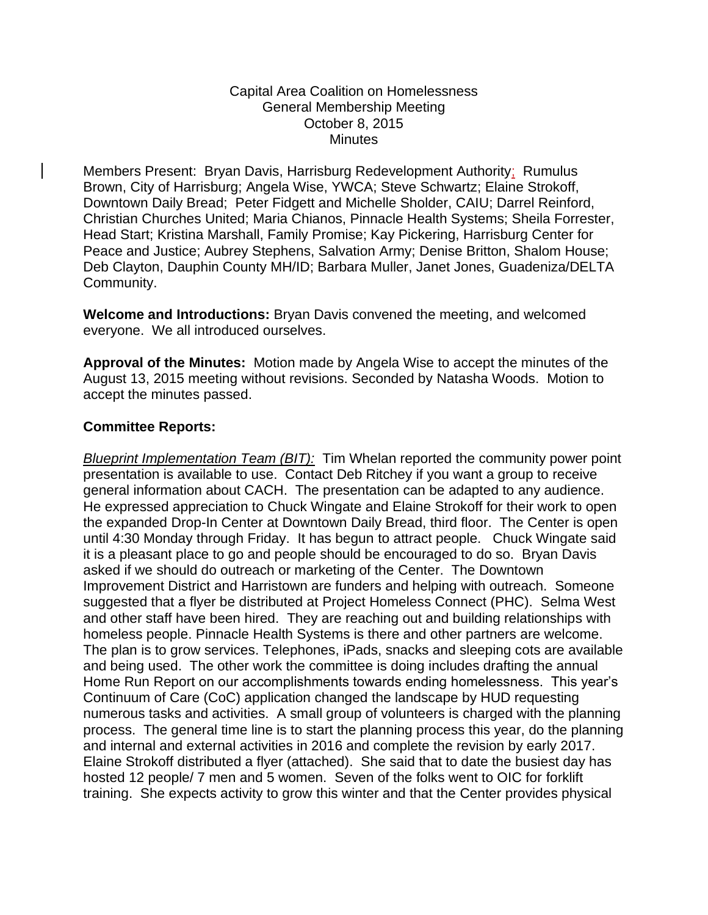## Capital Area Coalition on Homelessness General Membership Meeting October 8, 2015 **Minutes**

Members Present: Bryan Davis, Harrisburg Redevelopment Authority; Rumulus Brown, City of Harrisburg; Angela Wise, YWCA; Steve Schwartz; Elaine Strokoff, Downtown Daily Bread; Peter Fidgett and Michelle Sholder, CAIU; Darrel Reinford, Christian Churches United; Maria Chianos, Pinnacle Health Systems; Sheila Forrester, Head Start; Kristina Marshall, Family Promise; Kay Pickering, Harrisburg Center for Peace and Justice; Aubrey Stephens, Salvation Army; Denise Britton, Shalom House; Deb Clayton, Dauphin County MH/ID; Barbara Muller, Janet Jones, Guadeniza/DELTA Community.

**Welcome and Introductions:** Bryan Davis convened the meeting, and welcomed everyone. We all introduced ourselves.

**Approval of the Minutes:** Motion made by Angela Wise to accept the minutes of the August 13, 2015 meeting without revisions. Seconded by Natasha Woods. Motion to accept the minutes passed.

## **Committee Reports:**

*Blueprint Implementation Team (BIT):* Tim Whelan reported the community power point presentation is available to use. Contact Deb Ritchey if you want a group to receive general information about CACH. The presentation can be adapted to any audience. He expressed appreciation to Chuck Wingate and Elaine Strokoff for their work to open the expanded Drop-In Center at Downtown Daily Bread, third floor. The Center is open until 4:30 Monday through Friday. It has begun to attract people. Chuck Wingate said it is a pleasant place to go and people should be encouraged to do so. Bryan Davis asked if we should do outreach or marketing of the Center. The Downtown Improvement District and Harristown are funders and helping with outreach. Someone suggested that a flyer be distributed at Project Homeless Connect (PHC). Selma West and other staff have been hired. They are reaching out and building relationships with homeless people. Pinnacle Health Systems is there and other partners are welcome. The plan is to grow services. Telephones, iPads, snacks and sleeping cots are available and being used. The other work the committee is doing includes drafting the annual Home Run Report on our accomplishments towards ending homelessness. This year's Continuum of Care (CoC) application changed the landscape by HUD requesting numerous tasks and activities. A small group of volunteers is charged with the planning process. The general time line is to start the planning process this year, do the planning and internal and external activities in 2016 and complete the revision by early 2017. Elaine Strokoff distributed a flyer (attached). She said that to date the busiest day has hosted 12 people/ 7 men and 5 women. Seven of the folks went to OIC for forklift training. She expects activity to grow this winter and that the Center provides physical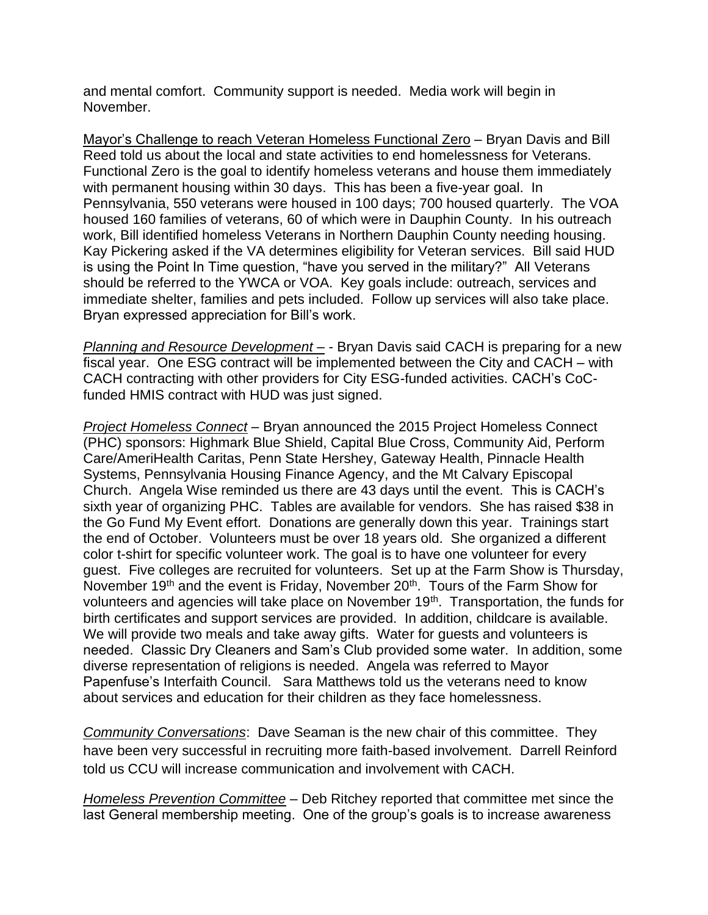and mental comfort. Community support is needed. Media work will begin in November.

Mayor's Challenge to reach Veteran Homeless Functional Zero – Bryan Davis and Bill Reed told us about the local and state activities to end homelessness for Veterans. Functional Zero is the goal to identify homeless veterans and house them immediately with permanent housing within 30 days. This has been a five-year goal. In Pennsylvania, 550 veterans were housed in 100 days; 700 housed quarterly. The VOA housed 160 families of veterans, 60 of which were in Dauphin County. In his outreach work, Bill identified homeless Veterans in Northern Dauphin County needing housing. Kay Pickering asked if the VA determines eligibility for Veteran services. Bill said HUD is using the Point In Time question, "have you served in the military?" All Veterans should be referred to the YWCA or VOA. Key goals include: outreach, services and immediate shelter, families and pets included. Follow up services will also take place. Bryan expressed appreciation for Bill's work.

*Planning and Resource Development –* - Bryan Davis said CACH is preparing for a new fiscal year. One ESG contract will be implemented between the City and CACH – with CACH contracting with other providers for City ESG-funded activities. CACH's CoCfunded HMIS contract with HUD was just signed.

*Project Homeless Connect* – Bryan announced the 2015 Project Homeless Connect (PHC) sponsors: Highmark Blue Shield, Capital Blue Cross, Community Aid, Perform Care/AmeriHealth Caritas, Penn State Hershey, Gateway Health, Pinnacle Health Systems, Pennsylvania Housing Finance Agency, and the Mt Calvary Episcopal Church. Angela Wise reminded us there are 43 days until the event. This is CACH's sixth year of organizing PHC. Tables are available for vendors. She has raised \$38 in the Go Fund My Event effort. Donations are generally down this year. Trainings start the end of October. Volunteers must be over 18 years old. She organized a different color t-shirt for specific volunteer work. The goal is to have one volunteer for every guest. Five colleges are recruited for volunteers. Set up at the Farm Show is Thursday, November 19<sup>th</sup> and the event is Friday, November 20<sup>th</sup>. Tours of the Farm Show for volunteers and agencies will take place on November  $19<sup>th</sup>$ . Transportation, the funds for birth certificates and support services are provided. In addition, childcare is available. We will provide two meals and take away gifts. Water for guests and volunteers is needed. Classic Dry Cleaners and Sam's Club provided some water. In addition, some diverse representation of religions is needed. Angela was referred to Mayor Papenfuse's Interfaith Council. Sara Matthews told us the veterans need to know about services and education for their children as they face homelessness.

*Community Conversations*: Dave Seaman is the new chair of this committee. They have been very successful in recruiting more faith-based involvement. Darrell Reinford told us CCU will increase communication and involvement with CACH.

*Homeless Prevention Committee* – Deb Ritchey reported that committee met since the last General membership meeting. One of the group's goals is to increase awareness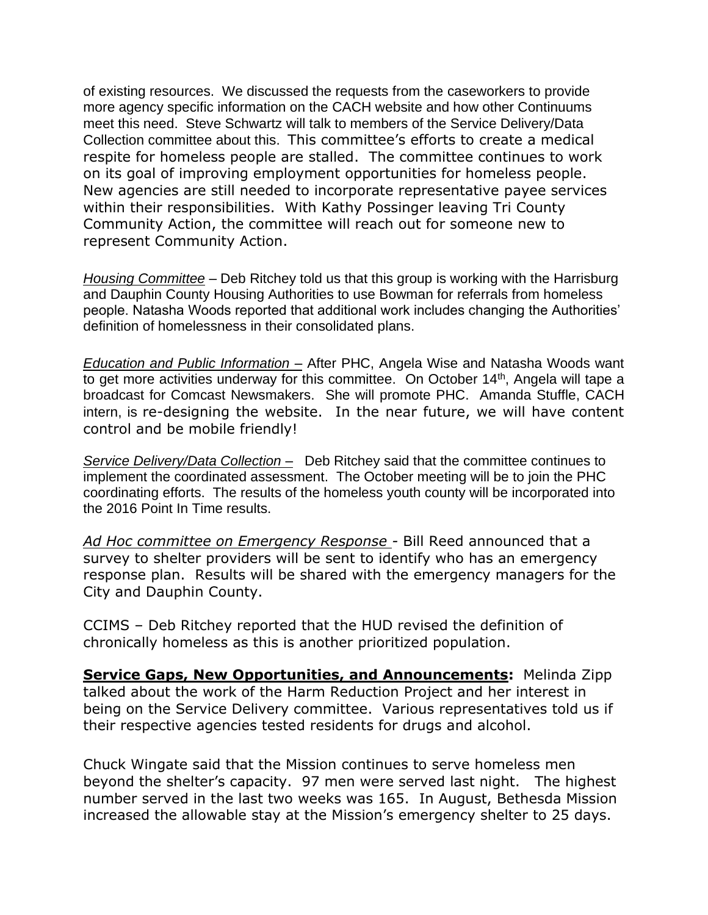of existing resources. We discussed the requests from the caseworkers to provide more agency specific information on the CACH website and how other Continuums meet this need. Steve Schwartz will talk to members of the Service Delivery/Data Collection committee about this. This committee's efforts to create a medical respite for homeless people are stalled. The committee continues to work on its goal of improving employment opportunities for homeless people. New agencies are still needed to incorporate representative payee services within their responsibilities. With Kathy Possinger leaving Tri County Community Action, the committee will reach out for someone new to represent Community Action.

*Housing Committee* – Deb Ritchey told us that this group is working with the Harrisburg and Dauphin County Housing Authorities to use Bowman for referrals from homeless people. Natasha Woods reported that additional work includes changing the Authorities' definition of homelessness in their consolidated plans.

*Education and Public Information –* After PHC, Angela Wise and Natasha Woods want to get more activities underway for this committee. On October  $14<sup>th</sup>$ , Angela will tape a broadcast for Comcast Newsmakers. She will promote PHC. Amanda Stuffle, CACH intern, is re-designing the website. In the near future, we will have content control and be mobile friendly!

*Service Delivery/Data Collection –* Deb Ritchey said that the committee continues to implement the coordinated assessment. The October meeting will be to join the PHC coordinating efforts. The results of the homeless youth county will be incorporated into the 2016 Point In Time results.

*Ad Hoc committee on Emergency Response -* Bill Reed announced that a survey to shelter providers will be sent to identify who has an emergency response plan. Results will be shared with the emergency managers for the City and Dauphin County.

CCIMS – Deb Ritchey reported that the HUD revised the definition of chronically homeless as this is another prioritized population.

**Service Gaps, New Opportunities, and Announcements:** Melinda Zipp talked about the work of the Harm Reduction Project and her interest in being on the Service Delivery committee. Various representatives told us if their respective agencies tested residents for drugs and alcohol.

Chuck Wingate said that the Mission continues to serve homeless men beyond the shelter's capacity. 97 men were served last night. The highest number served in the last two weeks was 165. In August, Bethesda Mission increased the allowable stay at the Mission's emergency shelter to 25 days.